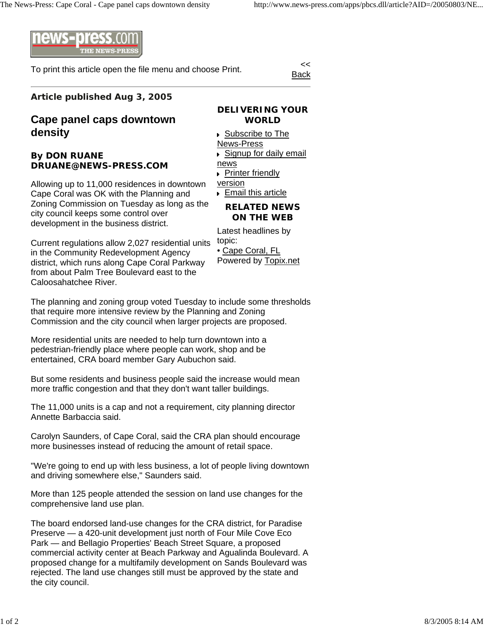

To print this article open the file menu and choose Print.

Back

## **Article published Aug 3, 2005**

## **Cape panel caps downtown density**

## **By DON RUANE DRUANE@NEWS-PRESS.COM**

Allowing up to 11,000 residences in downtown Cape Coral was OK with the Planning and Zoning Commission on Tuesday as long as the city council keeps some control over development in the business district.

Current regulations allow 2,027 residential units in the Community Redevelopment Agency district, which runs along Cape Coral Parkway from about Palm Tree Boulevard east to the Caloosahatchee River.

**DELIVERING YOUR WORLD**

▶ Subscribe to The News-Press ■ Signup for daily email news **Printer friendly** version **Email this article** 

**RELATED NEWS** 

## **ON THE WEB**

Latest headlines by topic:

• Cape Coral, FL

Powered by Topix.net

The planning and zoning group voted Tuesday to include some thresholds that require more intensive review by the Planning and Zoning Commission and the city council when larger projects are proposed.

More residential units are needed to help turn downtown into a pedestrian-friendly place where people can work, shop and be entertained, CRA board member Gary Aubuchon said.

But some residents and business people said the increase would mean more traffic congestion and that they don't want taller buildings.

The 11,000 units is a cap and not a requirement, city planning director Annette Barbaccia said.

Carolyn Saunders, of Cape Coral, said the CRA plan should encourage more businesses instead of reducing the amount of retail space.

"We're going to end up with less business, a lot of people living downtown and driving somewhere else," Saunders said.

More than 125 people attended the session on land use changes for the comprehensive land use plan.

The board endorsed land-use changes for the CRA district, for Paradise Preserve — a 420-unit development just north of Four Mile Cove Eco Park — and Bellagio Properties' Beach Street Square, a proposed commercial activity center at Beach Parkway and Agualinda Boulevard. A proposed change for a multifamily development on Sands Boulevard was rejected. The land use changes still must be approved by the state and the city council.